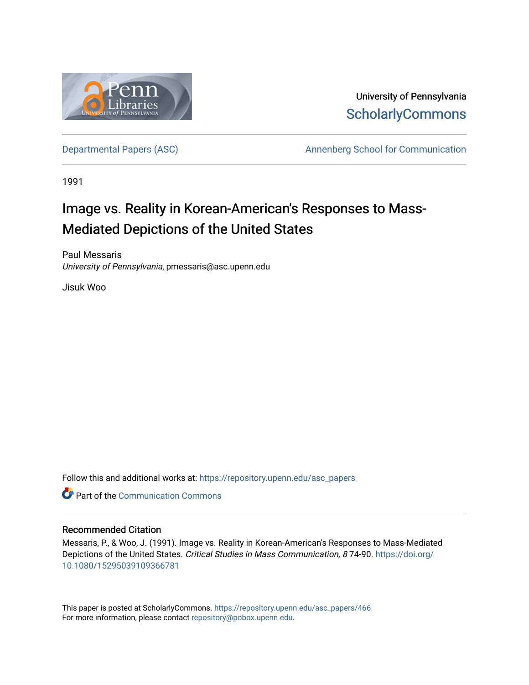

University of Pennsylvania **ScholarlyCommons** 

[Departmental Papers \(ASC\)](https://repository.upenn.edu/asc_papers) and a new Annenberg School for Communication

1991

# Image vs. Reality in Korean-American's Responses to Mass-Mediated Depictions of the United States

Paul Messaris University of Pennsylvania, pmessaris@asc.upenn.edu

Jisuk Woo

Follow this and additional works at: [https://repository.upenn.edu/asc\\_papers](https://repository.upenn.edu/asc_papers?utm_source=repository.upenn.edu%2Fasc_papers%2F466&utm_medium=PDF&utm_campaign=PDFCoverPages)

**C** Part of the Communication Commons

#### Recommended Citation

Messaris, P., & Woo, J. (1991). Image vs. Reality in Korean-American's Responses to Mass-Mediated Depictions of the United States. Critical Studies in Mass Communication, 8 74-90. [https://doi.org/](https://doi.org/10.1080/15295039109366781) [10.1080/15295039109366781](https://doi.org/10.1080/15295039109366781) 

This paper is posted at ScholarlyCommons. [https://repository.upenn.edu/asc\\_papers/466](https://repository.upenn.edu/asc_papers/466)  For more information, please contact [repository@pobox.upenn.edu.](mailto:repository@pobox.upenn.edu)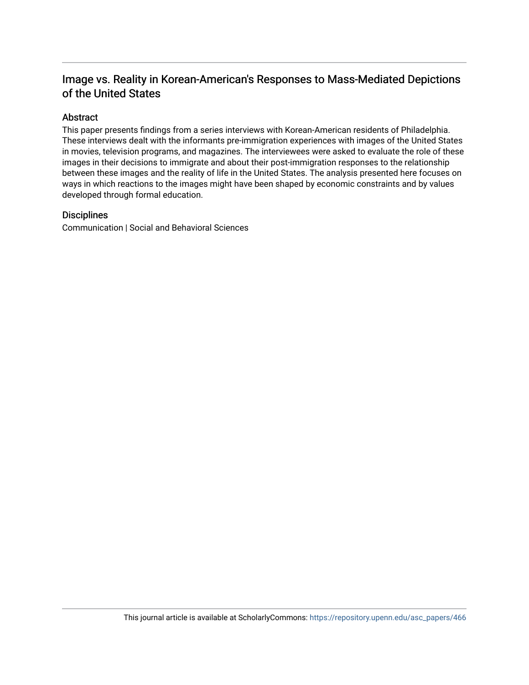## Image vs. Reality in Korean-American's Responses to Mass-Mediated Depictions of the United States

#### Abstract

This paper presents findings from a series interviews with Korean-American residents of Philadelphia. These interviews dealt with the informants pre-immigration experiences with images of the United States in movies, television programs, and magazines. The interviewees were asked to evaluate the role of these images in their decisions to immigrate and about their post-immigration responses to the relationship between these images and the reality of life in the United States. The analysis presented here focuses on ways in which reactions to the images might have been shaped by economic constraints and by values developed through formal education.

#### **Disciplines**

Communication | Social and Behavioral Sciences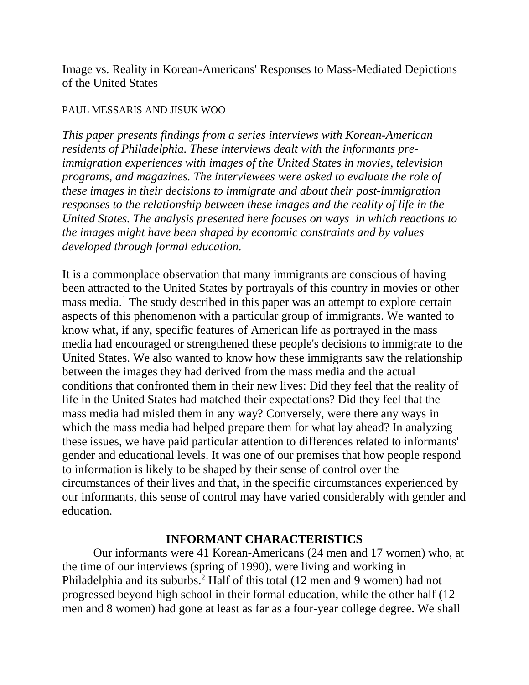Image vs. Reality in Korean-Americans' Responses to Mass-Mediated Depictions of the United States

### PAUL MESSARIS AND JISUK WOO

*This paper presents findings from a series interviews with Korean-American residents of Philadelphia. These interviews dealt with the informants preimmigration experiences with images of the United States in movies, television programs, and magazines. The interviewees were asked to evaluate the role of these images in their decisions to immigrate and about their post-immigration responses to the relationship between these images and the reality of life in the United States. The analysis presented here focuses on ways in which reactions to the images might have been shaped by economic constraints and by values developed through formal education.*

It is a commonplace observation that many immigrants are conscious of having been attracted to the United States by portrayals of this country in movies or other mass media.<sup>1</sup> The study described in this paper was an attempt to explore certain aspects of this phenomenon with a particular group of immigrants. We wanted to know what, if any, specific features of American life as portrayed in the mass media had encouraged or strengthened these people's decisions to immigrate to the United States. We also wanted to know how these immigrants saw the relationship between the images they had derived from the mass media and the actual conditions that confronted them in their new lives: Did they feel that the reality of life in the United States had matched their expectations? Did they feel that the mass media had misled them in any way? Conversely, were there any ways in which the mass media had helped prepare them for what lay ahead? In analyzing these issues, we have paid particular attention to differences related to informants' gender and educational levels. It was one of our premises that how people respond to information is likely to be shaped by their sense of control over the circumstances of their lives and that, in the specific circumstances experienced by our informants, this sense of control may have varied considerably with gender and education.

### **INFORMANT CHARACTERISTICS**

Our informants were 41 Korean-Americans (24 men and 17 women) who, at the time of our interviews (spring of 1990), were living and working in Philadelphia and its suburbs.<sup>2</sup> Half of this total (12 men and 9 women) had not progressed beyond high school in their formal education, while the other half (12 men and 8 women) had gone at least as far as a four-year college degree. We shall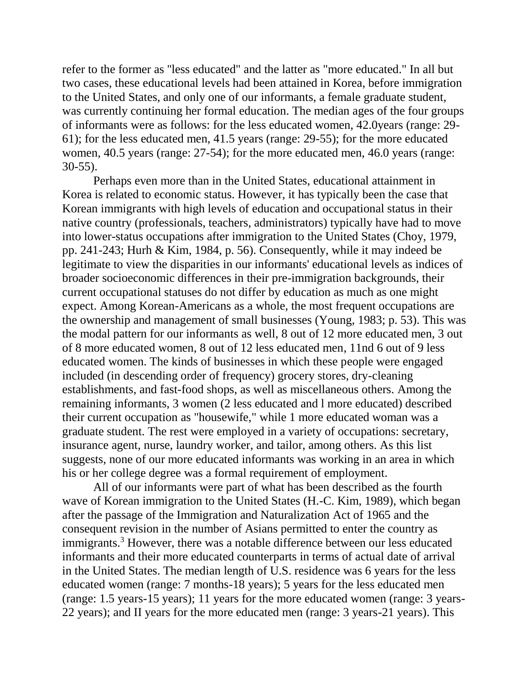refer to the former as ''less educated" and the latter as "more educated." In all but two cases, these educational levels had been attained in Korea, before immigration to the United States, and only one of our informants, a female graduate student, was currently continuing her formal education. The median ages of the four groups of informants were as follows: for the less educated women, 42.0years (range: 29- 61); for the less educated men, 41.5 years (range: 29-55); for the more educated women, 40.5 years (range: 27-54); for the more educated men, 46.0 years (range: 30-55).

Perhaps even more than in the United States, educational attainment in Korea is related to economic status. However, it has typically been the case that Korean immigrants with high levels of education and occupational status in their native country (professionals, teachers, administrators) typically have had to move into lower-status occupations after immigration to the United States (Choy, 1979, pp. 241-243; Hurh & Kim, 1984, p. 56). Consequently, while it may indeed be legitimate to view the disparities in our informants' educational levels as indices of broader socioeconomic differences in their pre-immigration backgrounds, their current occupational statuses do not differ by education as much as one might expect. Among Korean-Americans as a whole, the most frequent occupations are the ownership and management of small businesses (Young, 1983; p. 53). This was the modal pattern for our informants as well, 8 out of 12 more educated men, 3 out of 8 more educated women, 8 out of 12 less educated men, 11nd 6 out of 9 less educated women. The kinds of businesses in which these people were engaged included (in descending order of frequency) grocery stores, dry-cleaning establishments, and fast-food shops, as well as miscellaneous others. Among the remaining informants, 3 women (2 less educated and l more educated) described their current occupation as "housewife," while 1 more educated woman was a graduate student. The rest were employed in a variety of occupations: secretary, insurance agent, nurse, laundry worker, and tailor, among others. As this list suggests, none of our more educated informants was working in an area in which his or her college degree was a formal requirement of employment.

All of our informants were part of what has been described as the fourth wave of Korean immigration to the United States (H.-C. Kim, 1989), which began after the passage of the Immigration and Naturalization Act of 1965 and the consequent revision in the number of Asians permitted to enter the country as immigrants.<sup>3</sup> However, there was a notable difference between our less educated informants and their more educated counterparts in terms of actual date of arrival in the United States. The median length of U.S. residence was 6 years for the less educated women (range: 7 months-18 years); 5 years for the less educated men (range: 1.5 years-15 years); 11 years for the more educated women (range: 3 years-22 years); and II years for the more educated men (range: 3 years-21 years). This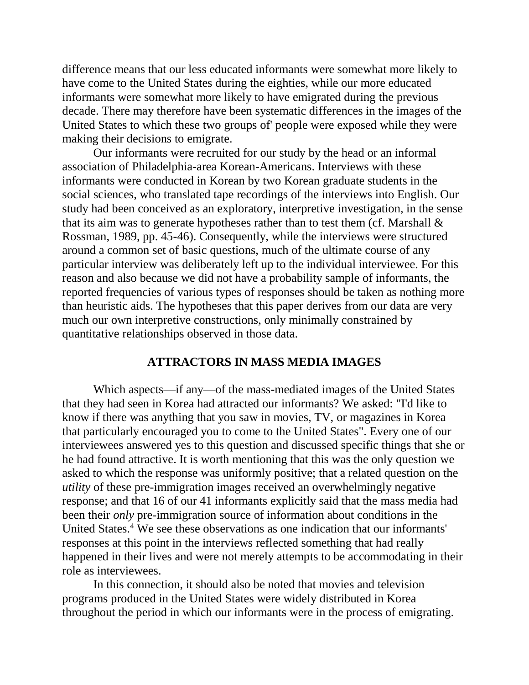difference means that our less educated informants were somewhat more likely to have come to the United States during the eighties, while our more educated informants were somewhat more likely to have emigrated during the previous decade. There may therefore have been systematic differences in the images of the United States to which these two groups of' people were exposed while they were making their decisions to emigrate.

Our informants were recruited for our study by the head or an informal association of Philadelphia-area Korean-Americans. Interviews with these informants were conducted in Korean by two Korean graduate students in the social sciences, who translated tape recordings of the interviews into English. Our study had been conceived as an exploratory, interpretive investigation, in the sense that its aim was to generate hypotheses rather than to test them (cf. Marshall  $\&$ Rossman, 1989, pp. 45-46). Consequently, while the interviews were structured around a common set of basic questions, much of the ultimate course of any particular interview was deliberately left up to the individual interviewee. For this reason and also because we did not have a probability sample of informants, the reported frequencies of various types of responses should be taken as nothing more than heuristic aids. The hypotheses that this paper derives from our data are very much our own interpretive constructions, only minimally constrained by quantitative relationships observed in those data.

### **ATTRACTORS IN MASS MEDIA IMAGES**

Which aspects—if any—of the mass-mediated images of the United States that they had seen in Korea had attracted our informants? We asked: "I'd like to know if there was anything that you saw in movies, TV, or magazines in Korea that particularly encouraged you to come to the United States". Every one of our interviewees answered yes to this question and discussed specific things that she or he had found attractive. It is worth mentioning that this was the only question we asked to which the response was uniformly positive; that a related question on the *utility* of these pre-immigration images received an overwhelmingly negative response; and that 16 of our 41 informants explicitly said that the mass media had been their *only* pre-immigration source of information about conditions in the United States.<sup>4</sup> We see these observations as one indication that our informants' responses at this point in the interviews reflected something that had really happened in their lives and were not merely attempts to be accommodating in their role as interviewees.

In this connection, it should also be noted that movies and television programs produced in the United States were widely distributed in Korea throughout the period in which our informants were in the process of emigrating.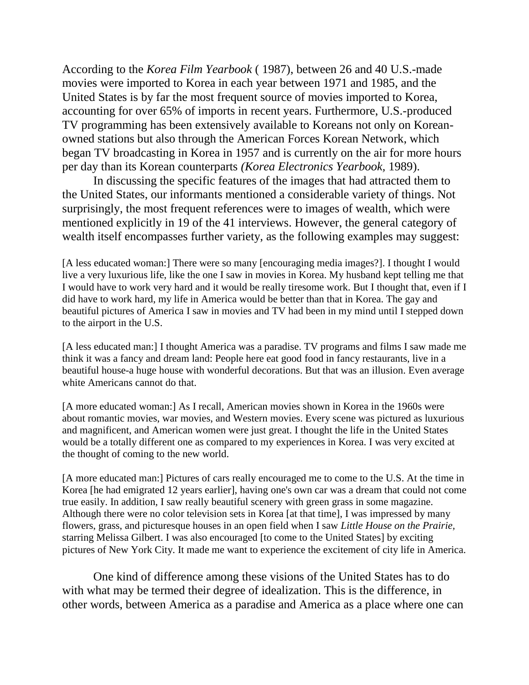According to the *Korea Film Yearbook* ( 1987), between 26 and 40 U.S.-made movies were imported to Korea in each year between 1971 and 1985, and the United States is by far the most frequent source of movies imported to Korea, accounting for over 65% of imports in recent years. Furthermore, U.S.-produced TV programming has been extensively available to Koreans not only on Koreanowned stations but also through the American Forces Korean Network, which began TV broadcasting in Korea in 1957 and is currently on the air for more hours per day than its Korean counterparts *(Korea Electronics Yearbook,* 1989).

In discussing the specific features of the images that had attracted them to the United States, our informants mentioned a considerable variety of things. Not surprisingly, the most frequent references were to images of wealth, which were mentioned explicitly in 19 of the 41 interviews. However, the general category of wealth itself encompasses further variety, as the following examples may suggest:

[A less educated woman:] There were so many [encouraging media images?]. I thought I would live a very luxurious life, like the one I saw in movies in Korea. My husband kept telling me that I would have to work very hard and it would be really tiresome work. But I thought that, even if I did have to work hard, my life in America would be better than that in Korea. The gay and beautiful pictures of America I saw in movies and TV had been in my mind until I stepped down to the airport in the U.S.

[A less educated man:] I thought America was a paradise. TV programs and films I saw made me think it was a fancy and dream land: People here eat good food in fancy restaurants, live in a beautiful house-a huge house with wonderful decorations. But that was an illusion. Even average white Americans cannot do that.

[A more educated woman:] As I recall, American movies shown in Korea in the 1960s were about romantic movies, war movies, and Western movies. Every scene was pictured as luxurious and magnificent, and American women were just great. I thought the life in the United States would be a totally different one as compared to my experiences in Korea. I was very excited at the thought of coming to the new world.

[A more educated man:] Pictures of cars really encouraged me to come to the U.S. At the time in Korea [he had emigrated 12 years earlier], having one's own car was a dream that could not come true easily. In addition, I saw really beautiful scenery with green grass in some magazine. Although there were no color television sets in Korea [at that time], I was impressed by many flowers, grass, and picturesque houses in an open field when I saw *Little House on the Prairie,*  starring Melissa Gilbert. I was also encouraged [to come to the United States] by exciting pictures of New York City. It made me want to experience the excitement of city life in America.

One kind of difference among these visions of the United States has to do with what may be termed their degree of idealization. This is the difference, in other words, between America as a paradise and America as a place where one can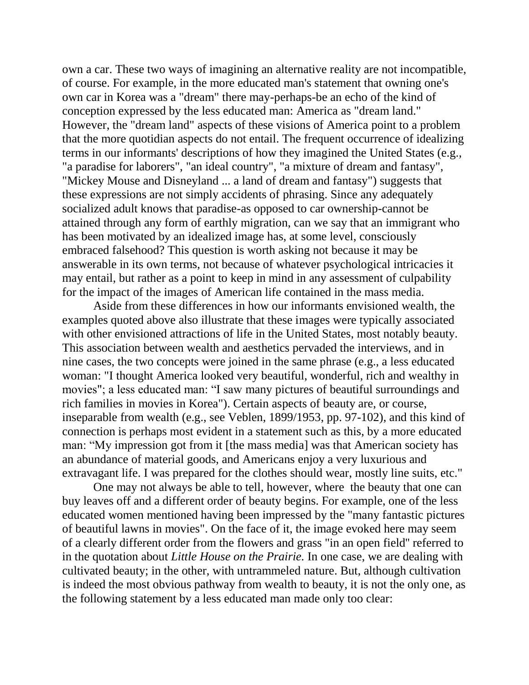own a car. These two ways of imagining an alternative reality are not incompatible, of course. For example, in the more educated man's statement that owning one's own car in Korea was a "dream" there may-perhaps-be an echo of the kind of conception expressed by the less educated man: America as "dream land." However, the "dream land" aspects of these visions of America point to a problem that the more quotidian aspects do not entail. The frequent occurrence of idealizing terms in our informants' descriptions of how they imagined the United States (e.g., "a paradise for laborers", "an ideal country", "a mixture of dream and fantasy", "Mickey Mouse and Disneyland ... a land of dream and fantasy") suggests that these expressions are not simply accidents of phrasing. Since any adequately socialized adult knows that paradise-as opposed to car ownership-cannot be attained through any form of earthly migration, can we say that an immigrant who has been motivated by an idealized image has, at some level, consciously embraced falsehood? This question is worth asking not because it may be answerable in its own terms, not because of whatever psychological intricacies it may entail, but rather as a point to keep in mind in any assessment of culpability for the impact of the images of American life contained in the mass media.

Aside from these differences in how our informants envisioned wealth, the examples quoted above also illustrate that these images were typically associated with other envisioned attractions of life in the United States, most notably beauty. This association between wealth and aesthetics pervaded the interviews, and in nine cases, the two concepts were joined in the same phrase (e.g., a less educated woman: "I thought America looked very beautiful, wonderful, rich and wealthy in movies"; a less educated man: "I saw many pictures of beautiful surroundings and rich families in movies in Korea"). Certain aspects of beauty are, or course, inseparable from wealth (e.g., see Veblen, 1899/1953, pp. 97-102), and this kind of connection is perhaps most evident in a statement such as this, by a more educated man: "My impression got from it [the mass media] was that American society has an abundance of material goods, and Americans enjoy a very luxurious and extravagant life. I was prepared for the clothes should wear, mostly line suits, etc."

One may not always be able to tell, however, where the beauty that one can buy leaves off and a different order of beauty begins. For example, one of the less educated women mentioned having been impressed by the "many fantastic pictures of beautiful lawns in movies". On the face of it, the image evoked here may seem of a clearly different order from the flowers and grass "in an open field'' referred to in the quotation about *Little House on the Prairie.* In one case, we are dealing with cultivated beauty; in the other, with untrammeled nature. But, although cultivation is indeed the most obvious pathway from wealth to beauty, it is not the only one, as the following statement by a less educated man made only too clear: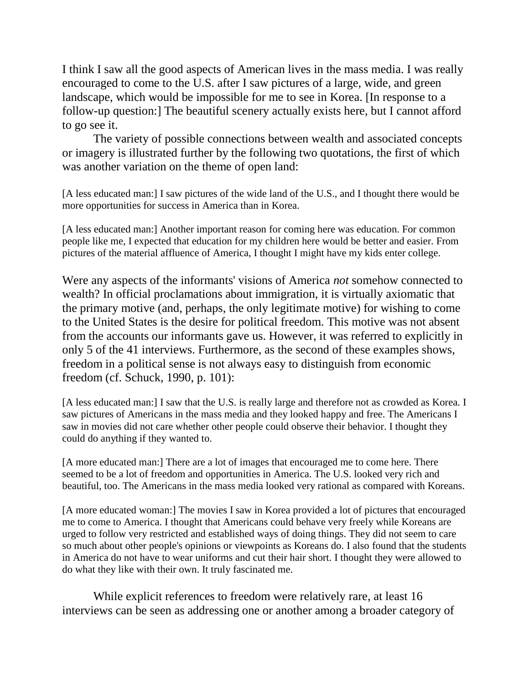I think I saw all the good aspects of American lives in the mass media. I was really encouraged to come to the U.S. after I saw pictures of a large, wide, and green landscape, which would be impossible for me to see in Korea. [In response to a follow-up question:] The beautiful scenery actually exists here, but I cannot afford to go see it.

The variety of possible connections between wealth and associated concepts or imagery is illustrated further by the following two quotations, the first of which was another variation on the theme of open land:

[A less educated man:] I saw pictures of the wide land of the U.S., and I thought there would be more opportunities for success in America than in Korea.

[A less educated man:] Another important reason for coming here was education. For common people like me, I expected that education for my children here would be better and easier. From pictures of the material affluence of America, I thought I might have my kids enter college.

Were any aspects of the informants' visions of America *not* somehow connected to wealth? In official proclamations about immigration, it is virtually axiomatic that the primary motive (and, perhaps, the only legitimate motive) for wishing to come to the United States is the desire for political freedom. This motive was not absent from the accounts our informants gave us. However, it was referred to explicitly in only 5 of the 41 interviews. Furthermore, as the second of these examples shows, freedom in a political sense is not always easy to distinguish from economic freedom (cf. Schuck, 1990, p. 101):

[A less educated man:] I saw that the U.S. is really large and therefore not as crowded as Korea. I saw pictures of Americans in the mass media and they looked happy and free. The Americans I saw in movies did not care whether other people could observe their behavior. I thought they could do anything if they wanted to.

[A more educated man:] There are a lot of images that encouraged me to come here. There seemed to be a lot of freedom and opportunities in America. The U.S. looked very rich and beautiful, too. The Americans in the mass media looked very rational as compared with Koreans.

[A more educated woman:] The movies I saw in Korea provided a lot of pictures that encouraged me to come to America. I thought that Americans could behave very freely while Koreans are urged to follow very restricted and established ways of doing things. They did not seem to care so much about other people's opinions or viewpoints as Koreans do. I also found that the students in America do not have to wear uniforms and cut their hair short. I thought they were allowed to do what they like with their own. It truly fascinated me.

While explicit references to freedom were relatively rare, at least 16 interviews can be seen as addressing one or another among a broader category of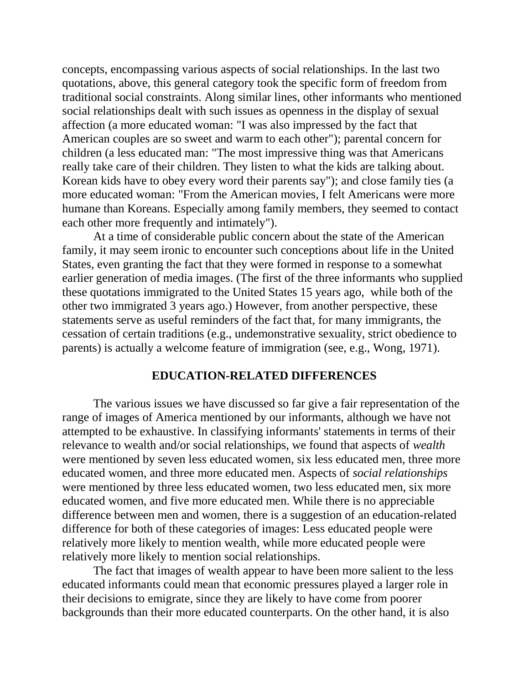concepts, encompassing various aspects of social relationships. In the last two quotations, above, this general category took the specific form of freedom from traditional social constraints. Along similar lines, other informants who mentioned social relationships dealt with such issues as openness in the display of sexual affection (a more educated woman: "I was also impressed by the fact that American couples are so sweet and warm to each other"); parental concern for children (a less educated man: "The most impressive thing was that Americans really take care of their children. They listen to what the kids are talking about. Korean kids have to obey every word their parents say"); and close family ties (a more educated woman: "From the American movies, I felt Americans were more humane than Koreans. Especially among family members, they seemed to contact each other more frequently and intimately").

At a time of considerable public concern about the state of the American family, it may seem ironic to encounter such conceptions about life in the United States, even granting the fact that they were formed in response to a somewhat earlier generation of media images. (The first of the three informants who supplied these quotations immigrated to the United States 15 years ago, while both of the other two immigrated 3 years ago.) However, from another perspective, these statements serve as useful reminders of the fact that, for many immigrants, the cessation of certain traditions (e.g., undemonstrative sexuality, strict obedience to parents) is actually a welcome feature of immigration (see, e.g., Wong, 1971).

### **EDUCATION-RELATED DIFFERENCES**

The various issues we have discussed so far give a fair representation of the range of images of America mentioned by our informants, although we have not attempted to be exhaustive. In classifying informants' statements in terms of their relevance to wealth and/or social relationships, we found that aspects of *wealth*  were mentioned by seven less educated women, six less educated men, three more educated women, and three more educated men. Aspects of *social relationships*  were mentioned by three less educated women, two less educated men, six more educated women, and five more educated men. While there is no appreciable difference between men and women, there is a suggestion of an education-related difference for both of these categories of images: Less educated people were relatively more likely to mention wealth, while more educated people were relatively more likely to mention social relationships.

The fact that images of wealth appear to have been more salient to the less educated informants could mean that economic pressures played a larger role in their decisions to emigrate, since they are likely to have come from poorer backgrounds than their more educated counterparts. On the other hand, it is also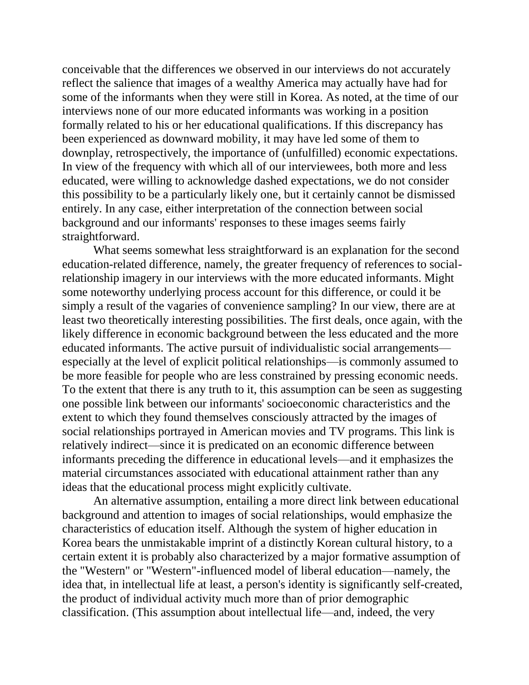conceivable that the differences we observed in our interviews do not accurately reflect the salience that images of a wealthy America may actually have had for some of the informants when they were still in Korea. As noted, at the time of our interviews none of our more educated informants was working in a position formally related to his or her educational qualifications. If this discrepancy has been experienced as downward mobility, it may have led some of them to downplay, retrospectively, the importance of (unfulfilled) economic expectations. In view of the frequency with which all of our interviewees, both more and less educated, were willing to acknowledge dashed expectations, we do not consider this possibility to be a particularly likely one, but it certainly cannot be dismissed entirely. In any case, either interpretation of the connection between social background and our informants' responses to these images seems fairly straightforward.

What seems somewhat less straightforward is an explanation for the second education-related difference, namely, the greater frequency of references to socialrelationship imagery in our interviews with the more educated informants. Might some noteworthy underlying process account for this difference, or could it be simply a result of the vagaries of convenience sampling? In our view, there are at least two theoretically interesting possibilities. The first deals, once again, with the likely difference in economic background between the less educated and the more educated informants. The active pursuit of individualistic social arrangements especially at the level of explicit political relationships—is commonly assumed to be more feasible for people who are less constrained by pressing economic needs. To the extent that there is any truth to it, this assumption can be seen as suggesting one possible link between our informants' socioeconomic characteristics and the extent to which they found themselves consciously attracted by the images of social relationships portrayed in American movies and TV programs. This link is relatively indirect—since it is predicated on an economic difference between informants preceding the difference in educational levels—and it emphasizes the material circumstances associated with educational attainment rather than any ideas that the educational process might explicitly cultivate.

An alternative assumption, entailing a more direct link between educational background and attention to images of social relationships, would emphasize the characteristics of education itself. Although the system of higher education in Korea bears the unmistakable imprint of a distinctly Korean cultural history, to a certain extent it is probably also characterized by a major formative assumption of the "Western" or "Western"-influenced model of liberal education—namely, the idea that, in intellectual life at least, a person's identity is significantly self-created, the product of individual activity much more than of prior demographic classification. (This assumption about intellectual life—and, indeed, the very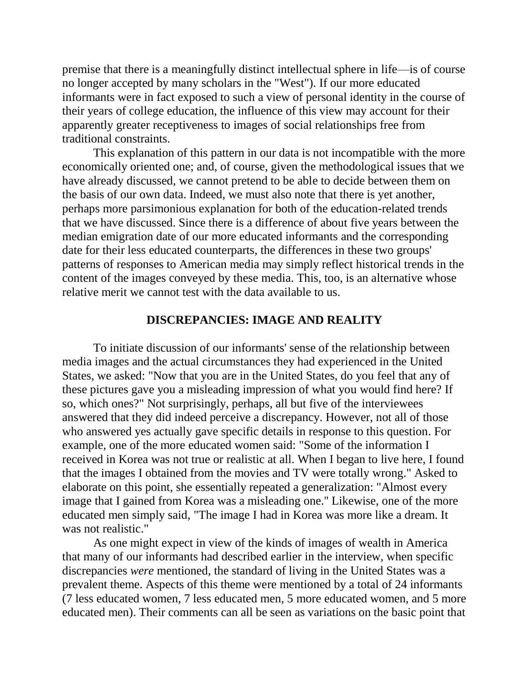premise that there is a meaningfully distinct intellectual sphere in life—is of course no longer accepted by many scholars in the "West"). If our more educated informants were in fact exposed to such a view of personal identity in the course of their years of college education, the influence of this view may account for their apparently greater receptiveness to images of social relationships free from traditional constraints.

This explanation of this pattern in our data is not incompatible with the more economically oriented one; and, of course, given the methodological issues that we have already discussed, we cannot pretend to be able to decide between them on the basis of our own data. Indeed, we must also note that there is yet another, perhaps more parsimonious explanation for both of the education-related trends that we have discussed. Since there is a difference of about five years between the median emigration date of our more educated informants and the corresponding date for their less educated counterparts, the differences in these two groups' patterns of responses to American media may simply reflect historical trends in the content of the images conveyed by these media. This, too, is an alternative whose relative merit we cannot test with the data available to us.

### **DISCREPANCIES: IMAGE AND REALITY**

To initiate discussion of our informants' sense of the relationship between media images and the actual circumstances they had experienced in the United States, we asked: "Now that you are in the United States, do you feel that any of these pictures gave you a misleading impression of what you would find here? If so, which ones?" Not surprisingly, perhaps, all but five of the interviewees answered that they did indeed perceive a discrepancy. However, not all of those who answered yes actually gave specific details in response to this question. For example, one of the more educated women said: "Some of the information I received in Korea was not true or realistic at all. When I began to live here, I found that the images I obtained from the movies and TV were totally wrong." Asked to elaborate on this point, she essentially repeated a generalization: "Almost every image that I gained from Korea was a misleading one.'' Likewise, one of the more educated men simply said, "The image I had in Korea was more like a dream. It was not realistic."

As one might expect in view of the kinds of images of wealth in America that many of our informants had described earlier in the interview, when specific discrepancies *were* mentioned, the standard of living in the United States was a prevalent theme. Aspects of this theme were mentioned by a total of 24 informants (7 less educated women, 7 less educated men, 5 more educated women, and 5 more educated men). Their comments can all be seen as variations on the basic point that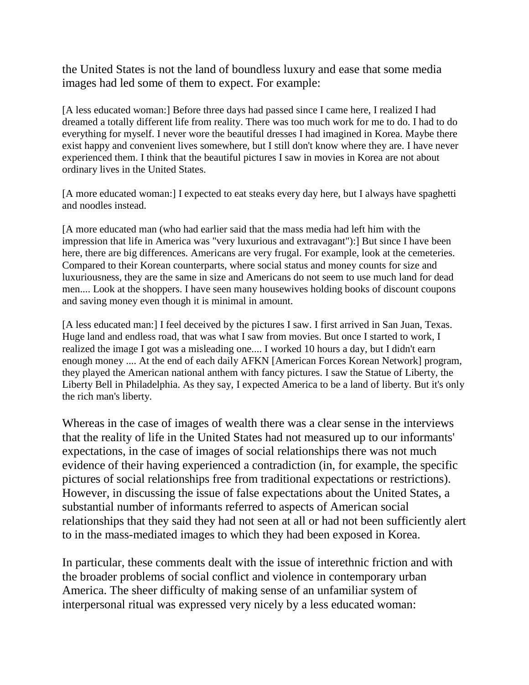the United States is not the land of boundless luxury and ease that some media images had led some of them to expect. For example:

[A less educated woman:] Before three days had passed since I came here, I realized I had dreamed a totally different life from reality. There was too much work for me to do. I had to do everything for myself. I never wore the beautiful dresses I had imagined in Korea. Maybe there exist happy and convenient lives somewhere, but I still don't know where they are. I have never experienced them. I think that the beautiful pictures I saw in movies in Korea are not about ordinary lives in the United States.

[A more educated woman:] I expected to eat steaks every day here, but I always have spaghetti and noodles instead.

[A more educated man (who had earlier said that the mass media had left him with the impression that life in America was "very luxurious and extravagant"):] But since I have been here, there are big differences. Americans are very frugal. For example, look at the cemeteries. Compared to their Korean counterparts, where social status and money counts for size and luxuriousness, they are the same in size and Americans do not seem to use much land for dead men.... Look at the shoppers. I have seen many housewives holding books of discount coupons and saving money even though it is minimal in amount.

[A less educated man:] I feel deceived by the pictures I saw. I first arrived in San Juan, Texas. Huge land and endless road, that was what I saw from movies. But once I started to work, I realized the image I got was a misleading one.... I worked 10 hours a day, but I didn't earn enough money .... At the end of each daily AFKN [American Forces Korean Network] program, they played the American national anthem with fancy pictures. I saw the Statue of Liberty, the Liberty Bell in Philadelphia. As they say, I expected America to be a land of liberty. But it's only the rich man's liberty.

Whereas in the case of images of wealth there was a clear sense in the interviews that the reality of life in the United States had not measured up to our informants' expectations, in the case of images of social relationships there was not much evidence of their having experienced a contradiction (in, for example, the specific pictures of social relationships free from traditional expectations or restrictions). However, in discussing the issue of false expectations about the United States, a substantial number of informants referred to aspects of American social relationships that they said they had not seen at all or had not been sufficiently alert to in the mass-mediated images to which they had been exposed in Korea.

In particular, these comments dealt with the issue of interethnic friction and with the broader problems of social conflict and violence in contemporary urban America. The sheer difficulty of making sense of an unfamiliar system of interpersonal ritual was expressed very nicely by a less educated woman: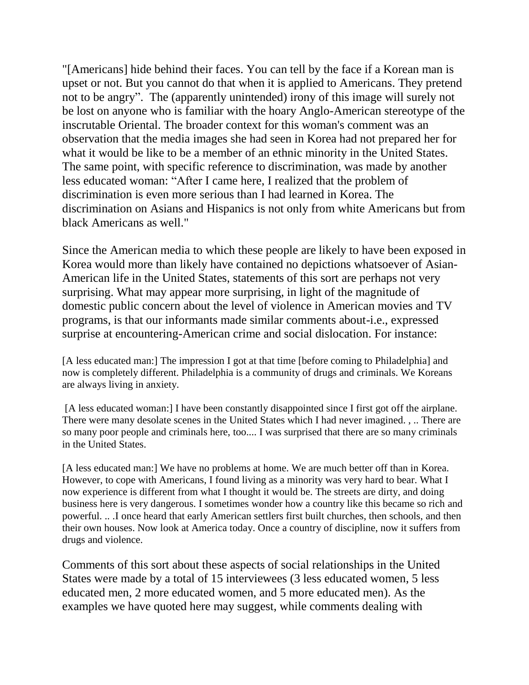"[Americans] hide behind their faces. You can tell by the face if a Korean man is upset or not. But you cannot do that when it is applied to Americans. They pretend not to be angry". The (apparently unintended) irony of this image will surely not be lost on anyone who is familiar with the hoary Anglo-American stereotype of the inscrutable Oriental. The broader context for this woman's comment was an observation that the media images she had seen in Korea had not prepared her for what it would be like to be a member of an ethnic minority in the United States. The same point, with specific reference to discrimination, was made by another less educated woman: "After I came here, I realized that the problem of discrimination is even more serious than I had learned in Korea. The discrimination on Asians and Hispanics is not only from white Americans but from black Americans as well."

Since the American media to which these people are likely to have been exposed in Korea would more than likely have contained no depictions whatsoever of Asian-American life in the United States, statements of this sort are perhaps not very surprising. What may appear more surprising, in light of the magnitude of domestic public concern about the level of violence in American movies and TV programs, is that our informants made similar comments about-i.e., expressed surprise at encountering-American crime and social dislocation. For instance:

[A less educated man:] The impression I got at that time [before coming to Philadelphia] and now is completely different. Philadelphia is a community of drugs and criminals. We Koreans are always living in anxiety.

[A less educated woman:] I have been constantly disappointed since I first got off the airplane. There were many desolate scenes in the United States which I had never imagined. , .. There are so many poor people and criminals here, too.... I was surprised that there are so many criminals in the United States.

[A less educated man:] We have no problems at home. We are much better off than in Korea. However, to cope with Americans, I found living as a minority was very hard to bear. What I now experience is different from what I thought it would be. The streets are dirty, and doing business here is very dangerous. I sometimes wonder how a country like this became so rich and powerful. .. .I once heard that early American settlers first built churches, then schools, and then their own houses. Now look at America today. Once a country of discipline, now it suffers from drugs and violence.

Comments of this sort about these aspects of social relationships in the United States were made by a total of 15 interviewees (3 less educated women, 5 less educated men, 2 more educated women, and 5 more educated men). As the examples we have quoted here may suggest, while comments dealing with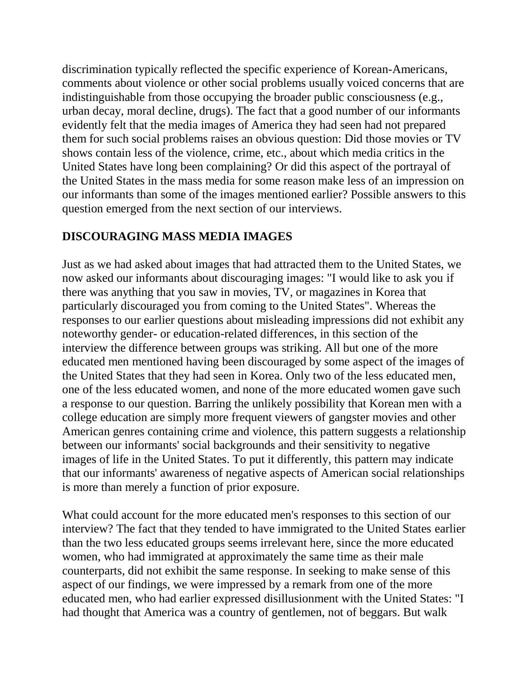discrimination typically reflected the specific experience of Korean-Americans, comments about violence or other social problems usually voiced concerns that are indistinguishable from those occupying the broader public consciousness (e.g., urban decay, moral decline, drugs). The fact that a good number of our informants evidently felt that the media images of America they had seen had not prepared them for such social problems raises an obvious question: Did those movies or TV shows contain less of the violence, crime, etc., about which media critics in the United States have long been complaining? Or did this aspect of the portrayal of the United States in the mass media for some reason make less of an impression on our informants than some of the images mentioned earlier? Possible answers to this question emerged from the next section of our interviews.

# **DISCOURAGING MASS MEDIA IMAGES**

Just as we had asked about images that had attracted them to the United States, we now asked our informants about discouraging images: "I would like to ask you if there was anything that you saw in movies, TV, or magazines in Korea that particularly discouraged you from coming to the United States". Whereas the responses to our earlier questions about misleading impressions did not exhibit any noteworthy gender- or education-related differences, in this section of the interview the difference between groups was striking. All but one of the more educated men mentioned having been discouraged by some aspect of the images of the United States that they had seen in Korea. Only two of the less educated men, one of the less educated women, and none of the more educated women gave such a response to our question. Barring the unlikely possibility that Korean men with a college education are simply more frequent viewers of gangster movies and other American genres containing crime and violence, this pattern suggests a relationship between our informants' social backgrounds and their sensitivity to negative images of life in the United States. To put it differently, this pattern may indicate that our informants' awareness of negative aspects of American social relationships is more than merely a function of prior exposure.

What could account for the more educated men's responses to this section of our interview? The fact that they tended to have immigrated to the United States earlier than the two less educated groups seems irrelevant here, since the more educated women, who had immigrated at approximately the same time as their male counterparts, did not exhibit the same response. In seeking to make sense of this aspect of our findings, we were impressed by a remark from one of the more educated men, who had earlier expressed disillusionment with the United States: "I had thought that America was a country of gentlemen, not of beggars. But walk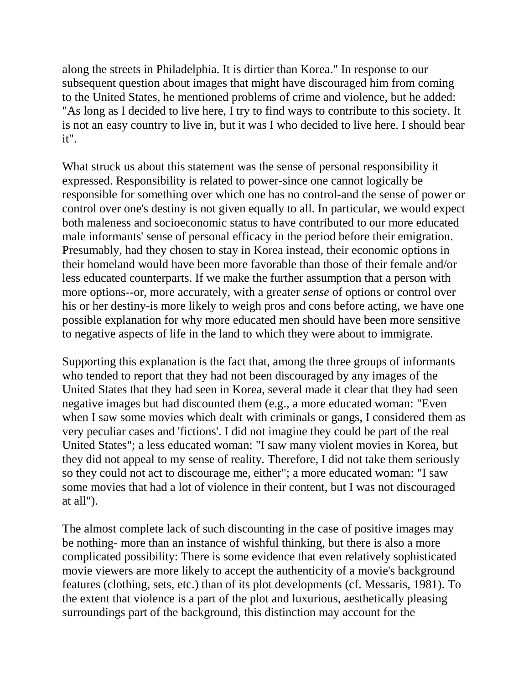along the streets in Philadelphia. It is dirtier than Korea." In response to our subsequent question about images that might have discouraged him from coming to the United States, he mentioned problems of crime and violence, but he added: "As long as I decided to live here, I try to find ways to contribute to this society. It is not an easy country to live in, but it was I who decided to live here. I should bear it".

What struck us about this statement was the sense of personal responsibility it expressed. Responsibility is related to power-since one cannot logically be responsible for something over which one has no control-and the sense of power or control over one's destiny is not given equally to all. In particular, we would expect both maleness and socioeconomic status to have contributed to our more educated male informants' sense of personal efficacy in the period before their emigration. Presumably, had they chosen to stay in Korea instead, their economic options in their homeland would have been more favorable than those of their female and/or less educated counterparts. If we make the further assumption that a person with more options--or, more accurately, with a greater *sense* of options or control over his or her destiny-is more likely to weigh pros and cons before acting, we have one possible explanation for why more educated men should have been more sensitive to negative aspects of life in the land to which they were about to immigrate.

Supporting this explanation is the fact that, among the three groups of informants who tended to report that they had not been discouraged by any images of the United States that they had seen in Korea, several made it clear that they had seen negative images but had discounted them (e.g., a more educated woman: "Even when I saw some movies which dealt with criminals or gangs, I considered them as very peculiar cases and 'fictions'. I did not imagine they could be part of the real United States"; a less educated woman: "I saw many violent movies in Korea, but they did not appeal to my sense of reality. Therefore, I did not take them seriously so they could not act to discourage me, either"; a more educated woman: "I saw some movies that had a lot of violence in their content, but I was not discouraged at all").

The almost complete lack of such discounting in the case of positive images may be nothing- more than an instance of wishful thinking, but there is also a more complicated possibility: There is some evidence that even relatively sophisticated movie viewers are more likely to accept the authenticity of a movie's background features (clothing, sets, etc.) than of its plot developments (cf. Messaris, 1981). To the extent that violence is a part of the plot and luxurious, aesthetically pleasing surroundings part of the background, this distinction may account for the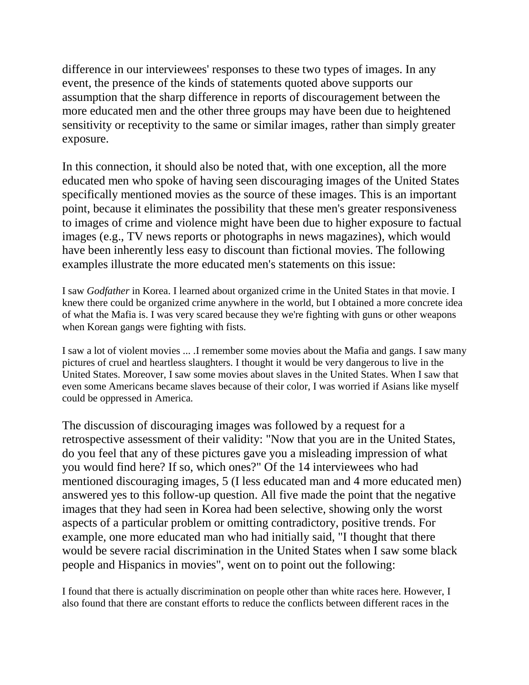difference in our interviewees' responses to these two types of images. In any event, the presence of the kinds of statements quoted above supports our assumption that the sharp difference in reports of discouragement between the more educated men and the other three groups may have been due to heightened sensitivity or receptivity to the same or similar images, rather than simply greater exposure.

In this connection, it should also be noted that, with one exception, all the more educated men who spoke of having seen discouraging images of the United States specifically mentioned movies as the source of these images. This is an important point, because it eliminates the possibility that these men's greater responsiveness to images of crime and violence might have been due to higher exposure to factual images (e.g., TV news reports or photographs in news magazines), which would have been inherently less easy to discount than fictional movies. The following examples illustrate the more educated men's statements on this issue:

I saw *Godfather* in Korea. I learned about organized crime in the United States in that movie. I knew there could be organized crime anywhere in the world, but I obtained a more concrete idea of what the Mafia is. I was very scared because they we're fighting with guns or other weapons when Korean gangs were fighting with fists.

I saw a lot of violent movies ... .I remember some movies about the Mafia and gangs. I saw many pictures of cruel and heartless slaughters. I thought it would be very dangerous to live in the United States. Moreover, I saw some movies about slaves in the United States. When I saw that even some Americans became slaves because of their color, I was worried if Asians like myself could be oppressed in America.

The discussion of discouraging images was followed by a request for a retrospective assessment of their validity: "Now that you are in the United States, do you feel that any of these pictures gave you a misleading impression of what you would find here? If so, which ones?" Of the 14 interviewees who had mentioned discouraging images, 5 (I less educated man and 4 more educated men) answered yes to this follow-up question. All five made the point that the negative images that they had seen in Korea had been selective, showing only the worst aspects of a particular problem or omitting contradictory, positive trends. For example, one more educated man who had initially said, "I thought that there would be severe racial discrimination in the United States when I saw some black people and Hispanics in movies", went on to point out the following:

I found that there is actually discrimination on people other than white races here. However, I also found that there are constant efforts to reduce the conflicts between different races in the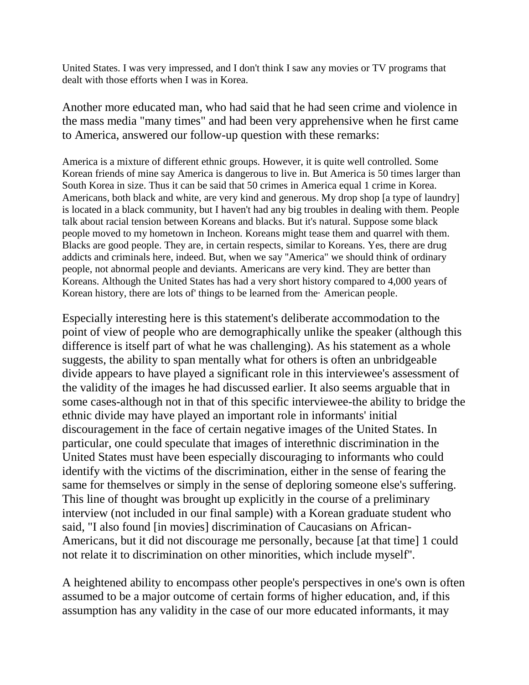United States. I was very impressed, and I don't think I saw any movies or TV programs that dealt with those efforts when I was in Korea.

Another more educated man, who had said that he had seen crime and violence in the mass media "many times" and had been very apprehensive when he first came to America, answered our follow-up question with these remarks:

America is a mixture of different ethnic groups. However, it is quite well controlled. Some Korean friends of mine say America is dangerous to live in. But America is 50 times larger than South Korea in size. Thus it can be said that 50 crimes in America equal 1 crime in Korea. Americans, both black and white, are very kind and generous. My drop shop [a type of laundry] is located in a black community, but I haven't had any big troubles in dealing with them. People talk about racial tension between Koreans and blacks. But it's natural. Suppose some black people moved to my hometown in Incheon. Koreans might tease them and quarrel with them. Blacks are good people. They are, in certain respects, similar to Koreans. Yes, there are drug addicts and criminals here, indeed. But, when we say ''America" we should think of ordinary people, not abnormal people and deviants. Americans are very kind. They are better than Koreans. Although the United States has had a very short history compared to 4,000 years of Korean history, there are lots of' things to be learned from the· American people.

Especially interesting here is this statement's deliberate accommodation to the point of view of people who are demographically unlike the speaker (although this difference is itself part of what he was challenging). As his statement as a whole suggests, the ability to span mentally what for others is often an unbridgeable divide appears to have played a significant role in this interviewee's assessment of the validity of the images he had discussed earlier. It also seems arguable that in some cases-although not in that of this specific interviewee-the ability to bridge the ethnic divide may have played an important role in informants' initial discouragement in the face of certain negative images of the United States. In particular, one could speculate that images of interethnic discrimination in the United States must have been especially discouraging to informants who could identify with the victims of the discrimination, either in the sense of fearing the same for themselves or simply in the sense of deploring someone else's suffering. This line of thought was brought up explicitly in the course of a preliminary interview (not included in our final sample) with a Korean graduate student who said, "I also found [in movies] discrimination of Caucasians on African-Americans, but it did not discourage me personally, because [at that time] 1 could not relate it to discrimination on other minorities, which include myself''.

A heightened ability to encompass other people's perspectives in one's own is often assumed to be a major outcome of certain forms of higher education, and, if this assumption has any validity in the case of our more educated informants, it may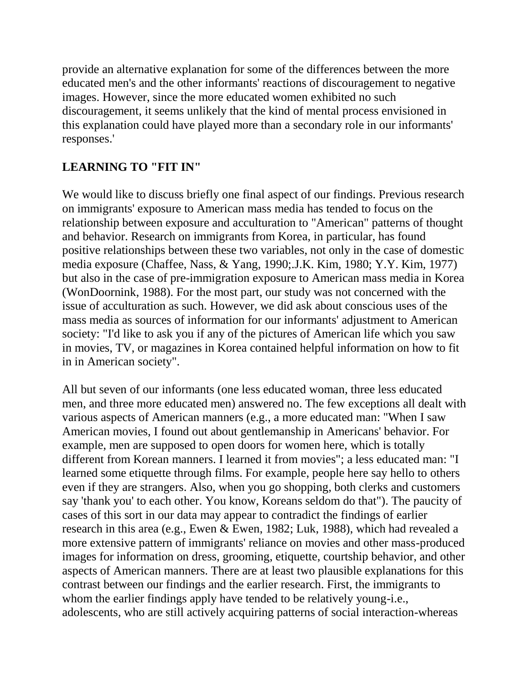provide an alternative explanation for some of the differences between the more educated men's and the other informants' reactions of discouragement to negative images. However, since the more educated women exhibited no such discouragement, it seems unlikely that the kind of mental process envisioned in this explanation could have played more than a secondary role in our informants' responses.'

# **LEARNING TO "FIT IN"**

We would like to discuss briefly one final aspect of our findings. Previous research on immigrants' exposure to American mass media has tended to focus on the relationship between exposure and acculturation to "American" patterns of thought and behavior. Research on immigrants from Korea, in particular, has found positive relationships between these two variables, not only in the case of domestic media exposure (Chaffee, Nass, & Yang, 1990;.J.K. Kim, 1980; Y.Y. Kim, 1977) but also in the case of pre-immigration exposure to American mass media in Korea (WonDoornink, 1988). For the most part, our study was not concerned with the issue of acculturation as such. However, we did ask about conscious uses of the mass media as sources of information for our informants' adjustment to American society: "I'd like to ask you if any of the pictures of American life which you saw in movies, TV, or magazines in Korea contained helpful information on how to fit in in American society".

All but seven of our informants (one less educated woman, three less educated men, and three more educated men) answered no. The few exceptions all dealt with various aspects of American manners (e.g., a more educated man: "When I saw American movies, I found out about gentlemanship in Americans' behavior. For example, men are supposed to open doors for women here, which is totally different from Korean manners. I learned it from movies"; a less educated man: "I learned some etiquette through films. For example, people here say hello to others even if they are strangers. Also, when you go shopping, both clerks and customers say 'thank you' to each other. You know, Koreans seldom do that"). The paucity of cases of this sort in our data may appear to contradict the findings of earlier research in this area (e.g., Ewen & Ewen, 1982; Luk, 1988), which had revealed a more extensive pattern of immigrants' reliance on movies and other mass-produced images for information on dress, grooming, etiquette, courtship behavior, and other aspects of American manners. There are at least two plausible explanations for this contrast between our findings and the earlier research. First, the immigrants to whom the earlier findings apply have tended to be relatively young-i.e., adolescents, who are still actively acquiring patterns of social interaction-whereas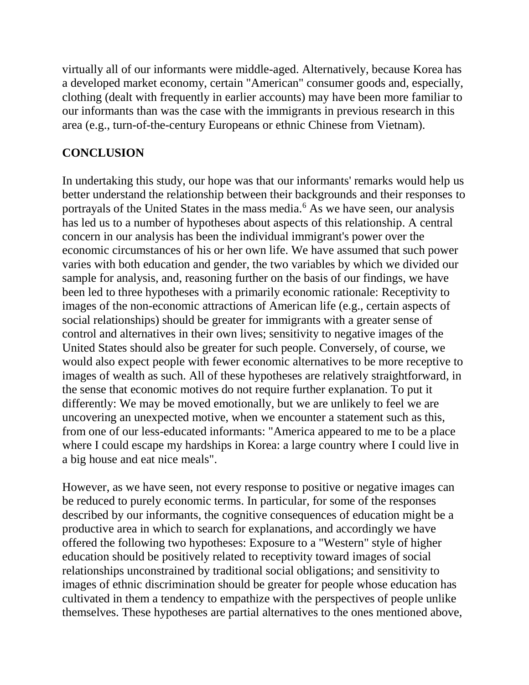virtually all of our informants were middle-aged. Alternatively, because Korea has a developed market economy, certain "American" consumer goods and, especially, clothing (dealt with frequently in earlier accounts) may have been more familiar to our informants than was the case with the immigrants in previous research in this area (e.g., turn-of-the-century Europeans or ethnic Chinese from Vietnam).

## **CONCLUSION**

In undertaking this study, our hope was that our informants' remarks would help us better understand the relationship between their backgrounds and their responses to portrayals of the United States in the mass media.<sup>6</sup> As we have seen, our analysis has led us to a number of hypotheses about aspects of this relationship. A central concern in our analysis has been the individual immigrant's power over the economic circumstances of his or her own life. We have assumed that such power varies with both education and gender, the two variables by which we divided our sample for analysis, and, reasoning further on the basis of our findings, we have been led to three hypotheses with a primarily economic rationale: Receptivity to images of the non-economic attractions of American life (e.g., certain aspects of social relationships) should be greater for immigrants with a greater sense of control and alternatives in their own lives; sensitivity to negative images of the United States should also be greater for such people. Conversely, of course, we would also expect people with fewer economic alternatives to be more receptive to images of wealth as such. All of these hypotheses are relatively straightforward, in the sense that economic motives do not require further explanation. To put it differently: We may be moved emotionally, but we are unlikely to feel we are uncovering an unexpected motive, when we encounter a statement such as this, from one of our less-educated informants: "America appeared to me to be a place where I could escape my hardships in Korea: a large country where I could live in a big house and eat nice meals".

However, as we have seen, not every response to positive or negative images can be reduced to purely economic terms. In particular, for some of the responses described by our informants, the cognitive consequences of education might be a productive area in which to search for explanations, and accordingly we have offered the following two hypotheses: Exposure to a "Western" style of higher education should be positively related to receptivity toward images of social relationships unconstrained by traditional social obligations; and sensitivity to images of ethnic discrimination should be greater for people whose education has cultivated in them a tendency to empathize with the perspectives of people unlike themselves. These hypotheses are partial alternatives to the ones mentioned above,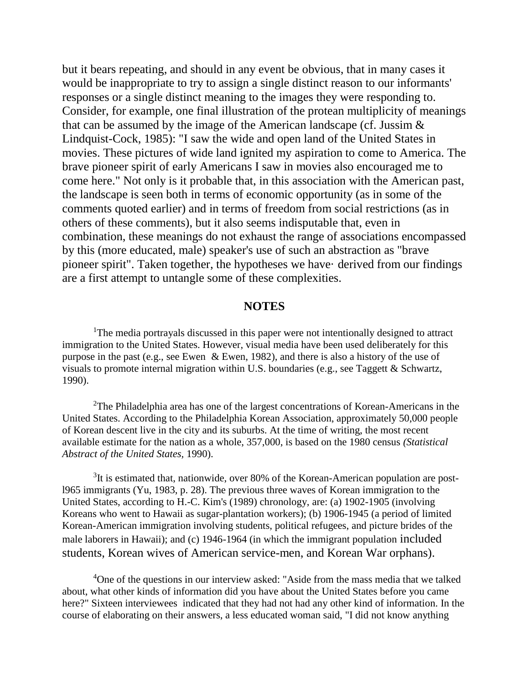but it bears repeating, and should in any event be obvious, that in many cases it would be inappropriate to try to assign a single distinct reason to our informants' responses or a single distinct meaning to the images they were responding to. Consider, for example, one final illustration of the protean multiplicity of meanings that can be assumed by the image of the American landscape (cf. Jussim & Lindquist-Cock, 1985): "I saw the wide and open land of the United States in movies. These pictures of wide land ignited my aspiration to come to America. The brave pioneer spirit of early Americans I saw in movies also encouraged me to come here." Not only is it probable that, in this association with the American past, the landscape is seen both in terms of economic opportunity (as in some of the comments quoted earlier) and in terms of freedom from social restrictions (as in others of these comments), but it also seems indisputable that, even in combination, these meanings do not exhaust the range of associations encompassed by this (more educated, male) speaker's use of such an abstraction as "brave pioneer spirit". Taken together, the hypotheses we have· derived from our findings are a first attempt to untangle some of these complexities.

#### **NOTES**

<sup>1</sup>The media portrayals discussed in this paper were not intentionally designed to attract immigration to the United States. However, visual media have been used deliberately for this purpose in the past (e.g., see Ewen & Ewen, 1982), and there is also a history of the use of visuals to promote internal migration within U.S. boundaries (e.g., see Taggett & Schwartz, 1990).

<sup>2</sup>The Philadelphia area has one of the largest concentrations of Korean-Americans in the United States. According to the Philadelphia Korean Association, approximately 50,000 people of Korean descent live in the city and its suburbs. At the time of writing, the most recent available estimate for the nation as a whole, 357,000, is based on the 1980 census *(Statistical Abstract of the United States,* 1990).

 $3$ It is estimated that, nationwide, over 80% of the Korean-American population are postl965 immigrants (Yu, 1983, p. 28). The previous three waves of Korean immigration to the United States, according to H.-C. Kim's (1989) chronology, are: (a) 1902-1905 (involving Koreans who went to Hawaii as sugar-plantation workers); (b) 1906-1945 (a period of limited Korean-American immigration involving students, political refugees, and picture brides of the male laborers in Hawaii); and (c) 1946-1964 (in which the immigrant population included students, Korean wives of American service-men, and Korean War orphans).

<sup>4</sup>One of the questions in our interview asked: "Aside from the mass media that we talked about, what other kinds of information did you have about the United States before you came here?" Sixteen interviewees indicated that they had not had any other kind of information. In the course of elaborating on their answers, a less educated woman said, "I did not know anything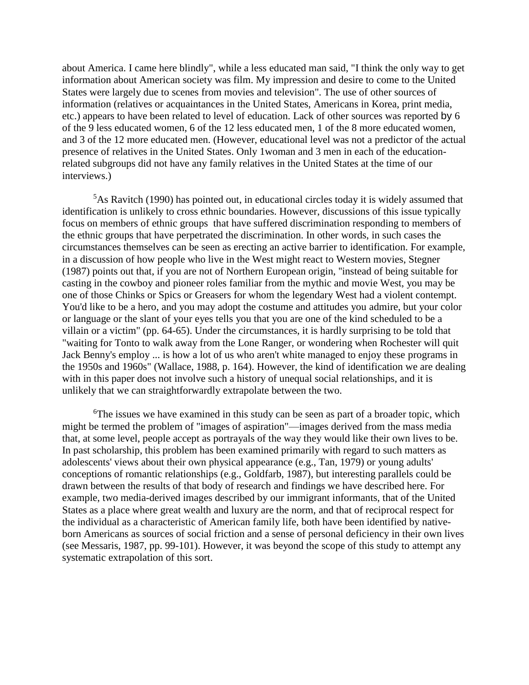about America. I came here blindly", while a less educated man said, "I think the only way to get information about American society was film. My impression and desire to come to the United States were largely due to scenes from movies and television". The use of other sources of information (relatives or acquaintances in the United States, Americans in Korea, print media, etc.) appears to have been related to level of education. Lack of other sources was reported by 6 of the 9 less educated women, 6 of the 12 less educated men, 1 of the 8 more educated women, and 3 of the 12 more educated men. (However, educational level was not a predictor of the actual presence of relatives in the United States. Only 1woman and 3 men in each of the educationrelated subgroups did not have any family relatives in the United States at the time of our interviews.)

<sup>5</sup>As Ravitch (1990) has pointed out, in educational circles today it is widely assumed that identification is unlikely to cross ethnic boundaries. However, discussions of this issue typically focus on members of ethnic groups that have suffered discrimination responding to members of the ethnic groups that have perpetrated the discrimination. In other words, in such cases the circumstances themselves can be seen as erecting an active barrier to identification. For example, in a discussion of how people who live in the West might react to Western movies, Stegner (1987) points out that, if you are not of Northern European origin, ''instead of being suitable for casting in the cowboy and pioneer roles familiar from the mythic and movie West, you may be one of those Chinks or Spics or Greasers for whom the legendary West had a violent contempt. You'd like to be a hero, and you may adopt the costume and attitudes you admire, but your color or language or the slant of your eyes tells you that you are one of the kind scheduled to be a villain or a victim" (pp. 64-65). Under the circumstances, it is hardly surprising to be told that "waiting for Tonto to walk away from the Lone Ranger, or wondering when Rochester will quit Jack Benny's employ ... is how a lot of us who aren't white managed to enjoy these programs in the 1950s and 1960s" (Wallace, 1988, p. 164). However, the kind of identification we are dealing with in this paper does not involve such a history of unequal social relationships, and it is unlikely that we can straightforwardly extrapolate between the two.

<sup>6</sup>The issues we have examined in this study can be seen as part of a broader topic, which might be termed the problem of "images of aspiration"—images derived from the mass media that, at some level, people accept as portrayals of the way they would like their own lives to be. In past scholarship, this problem has been examined primarily with regard to such matters as adolescents' views about their own physical appearance (e.g., Tan, 1979) or young adults' conceptions of romantic relationships (e.g., Goldfarb, 1987), but interesting parallels could be drawn between the results of that body of research and findings we have described here. For example, two media-derived images described by our immigrant informants, that of the United States as a place where great wealth and luxury are the norm, and that of reciprocal respect for the individual as a characteristic of American family life, both have been identified by nativeborn Americans as sources of social friction and a sense of personal deficiency in their own lives (see Messaris, 1987, pp. 99-101). However, it was beyond the scope of this study to attempt any systematic extrapolation of this sort.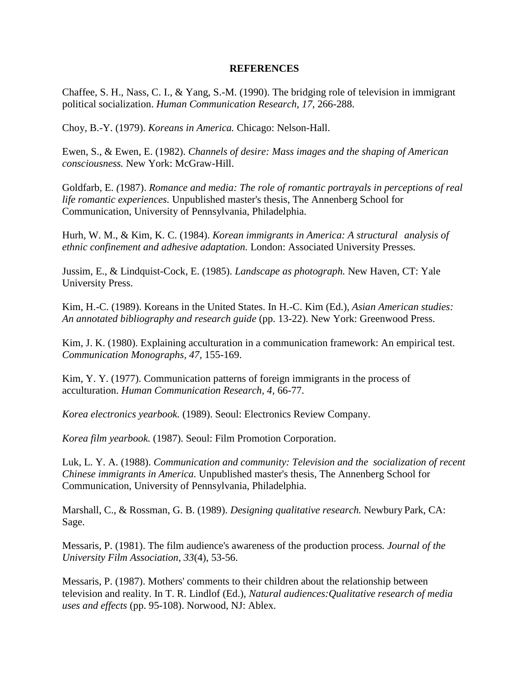#### **REFERENCES**

Chaffee, S. H., Nass, C. I., & Yang, S.-M. (1990). The bridging role of television in immigrant political socialization. *Human Communication Research, 17,* 266-288.

Choy, B.-Y. (1979). *Koreans in America.* Chicago: Nelson-Hall.

Ewen, S., & Ewen, E. (1982). *Channels of desire: Mass images and the shaping of American consciousness.* New York: McGraw-Hill.

Goldfarb, E. *(*1987). *Romance and media: The role of romantic portrayals in perceptions of real life romantic experiences.* Unpublished master's thesis, The Annenberg School for Communication, University of Pennsylvania, Philadelphia.

Hurh, W. M., & Kim, K. C. (1984). *Korean immigrants in America: A structural analysis of ethnic confinement and adhesive adaptation.* London: Associated University Presses.

Jussim, E., & Lindquist-Cock, E. (1985). *Landscape as photograph.* New Haven, CT: Yale University Press.

Kim, H.-C. (1989). Koreans in the United States. In H.-C. Kim (Ed.), *Asian American studies: An annotated bibliography and research guide* (pp. 13-22). New York: Greenwood Press.

Kim, J. K. (1980). Explaining acculturation in a communication framework: An empirical test. *Communication Monographs, 47,* 155-169.

Kim, Y. Y. (1977). Communication patterns of foreign immigrants in the process of acculturation. *Human Communication Research, 4,* 66-77.

*Korea electronics yearbook.* (1989). Seoul: Electronics Review Company.

*Korea film yearbook.* (1987). Seoul: Film Promotion Corporation.

Luk, L. Y. A. (1988). *Communication and community: Television and the socialization of recent Chinese immigrants in America.* Unpublished master's thesis, The Annenberg School for Communication, University of Pennsylvania, Philadelphia.

Marshall, C., & Rossman, G. B. (1989). *Designing qualitative research.* Newbury Park, CA: Sage.

Messaris, P. (1981). The film audience's awareness of the production process*. Journal of the University Film Association, 33*(4), 53-56.

Messaris, P. (1987). Mothers' comments to their children about the relationship between television and reality. In T. R. Lindlof (Ed.), *Natural audiences:Qualitative research of media uses and effects* (pp. 95-108). Norwood, NJ: Ablex.